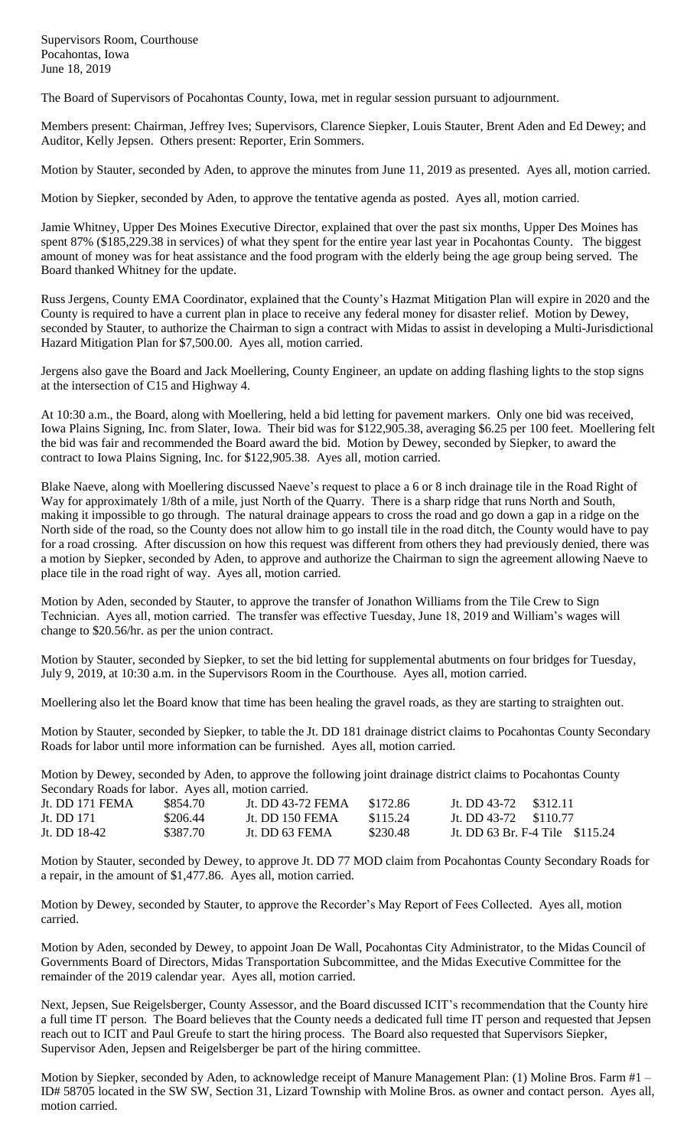Supervisors Room, Courthouse Pocahontas, Iowa June 18, 2019

The Board of Supervisors of Pocahontas County, Iowa, met in regular session pursuant to adjournment.

Members present: Chairman, Jeffrey Ives; Supervisors, Clarence Siepker, Louis Stauter, Brent Aden and Ed Dewey; and Auditor, Kelly Jepsen. Others present: Reporter, Erin Sommers.

Motion by Stauter, seconded by Aden, to approve the minutes from June 11, 2019 as presented. Ayes all, motion carried.

Motion by Siepker, seconded by Aden, to approve the tentative agenda as posted. Ayes all, motion carried.

Jamie Whitney, Upper Des Moines Executive Director, explained that over the past six months, Upper Des Moines has spent 87% (\$185,229.38 in services) of what they spent for the entire year last year in Pocahontas County. The biggest amount of money was for heat assistance and the food program with the elderly being the age group being served. The Board thanked Whitney for the update.

Russ Jergens, County EMA Coordinator, explained that the County's Hazmat Mitigation Plan will expire in 2020 and the County is required to have a current plan in place to receive any federal money for disaster relief. Motion by Dewey, seconded by Stauter, to authorize the Chairman to sign a contract with Midas to assist in developing a Multi-Jurisdictional Hazard Mitigation Plan for \$7,500.00. Ayes all, motion carried.

Jergens also gave the Board and Jack Moellering, County Engineer, an update on adding flashing lights to the stop signs at the intersection of C15 and Highway 4.

At 10:30 a.m., the Board, along with Moellering, held a bid letting for pavement markers. Only one bid was received, Iowa Plains Signing, Inc. from Slater, Iowa. Their bid was for \$122,905.38, averaging \$6.25 per 100 feet. Moellering felt the bid was fair and recommended the Board award the bid. Motion by Dewey, seconded by Siepker, to award the contract to Iowa Plains Signing, Inc. for \$122,905.38. Ayes all, motion carried.

Blake Naeve, along with Moellering discussed Naeve's request to place a 6 or 8 inch drainage tile in the Road Right of Way for approximately 1/8th of a mile, just North of the Quarry. There is a sharp ridge that runs North and South, making it impossible to go through. The natural drainage appears to cross the road and go down a gap in a ridge on the North side of the road, so the County does not allow him to go install tile in the road ditch, the County would have to pay for a road crossing. After discussion on how this request was different from others they had previously denied, there was a motion by Siepker, seconded by Aden, to approve and authorize the Chairman to sign the agreement allowing Naeve to place tile in the road right of way. Ayes all, motion carried.

Motion by Aden, seconded by Stauter, to approve the transfer of Jonathon Williams from the Tile Crew to Sign Technician. Ayes all, motion carried. The transfer was effective Tuesday, June 18, 2019 and William's wages will change to \$20.56/hr. as per the union contract.

Motion by Stauter, seconded by Siepker, to set the bid letting for supplemental abutments on four bridges for Tuesday, July 9, 2019, at 10:30 a.m. in the Supervisors Room in the Courthouse. Ayes all, motion carried.

Moellering also let the Board know that time has been healing the gravel roads, as they are starting to straighten out.

Motion by Stauter, seconded by Siepker, to table the Jt. DD 181 drainage district claims to Pocahontas County Secondary Roads for labor until more information can be furnished. Ayes all, motion carried.

Motion by Dewey, seconded by Aden, to approve the following joint drainage district claims to Pocahontas County Secondary Roads for labor. Ayes all, motion carried.

| Jt. DD 171 FEMA | \$854.70 | Jt. DD 43-72 FEMA | \$172.86 | Jt. DD 43-72 $$312.11$           |
|-----------------|----------|-------------------|----------|----------------------------------|
| Jt. DD 171      | \$206.44 | Jt. DD 150 FEMA   | \$115.24 | Jt. DD 43-72 $$110.77$           |
| Jt. DD 18-42    | \$387.70 | Jt. DD 63 FEMA    | \$230.48 | Jt. DD 63 Br. F-4 Tile $$115.24$ |

Motion by Stauter, seconded by Dewey, to approve Jt. DD 77 MOD claim from Pocahontas County Secondary Roads for a repair, in the amount of \$1,477.86. Ayes all, motion carried.

Motion by Dewey, seconded by Stauter, to approve the Recorder's May Report of Fees Collected. Ayes all, motion carried.

Motion by Aden, seconded by Dewey, to appoint Joan De Wall, Pocahontas City Administrator, to the Midas Council of Governments Board of Directors, Midas Transportation Subcommittee, and the Midas Executive Committee for the remainder of the 2019 calendar year. Ayes all, motion carried.

Next, Jepsen, Sue Reigelsberger, County Assessor, and the Board discussed ICIT's recommendation that the County hire a full time IT person. The Board believes that the County needs a dedicated full time IT person and requested that Jepsen reach out to ICIT and Paul Greufe to start the hiring process. The Board also requested that Supervisors Siepker, Supervisor Aden, Jepsen and Reigelsberger be part of the hiring committee.

Motion by Siepker, seconded by Aden, to acknowledge receipt of Manure Management Plan: (1) Moline Bros. Farm #1 – ID# 58705 located in the SW SW, Section 31, Lizard Township with Moline Bros. as owner and contact person. Ayes all, motion carried.